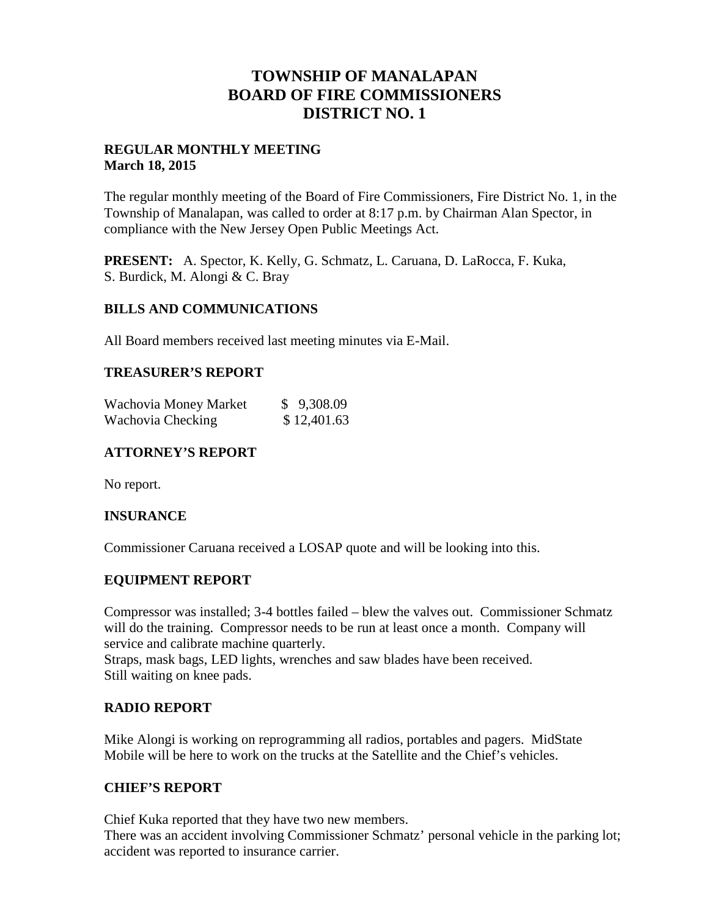# **TOWNSHIP OF MANALAPAN BOARD OF FIRE COMMISSIONERS DISTRICT NO. 1**

### **REGULAR MONTHLY MEETING March 18, 2015**

The regular monthly meeting of the Board of Fire Commissioners, Fire District No. 1, in the Township of Manalapan, was called to order at 8:17 p.m. by Chairman Alan Spector, in compliance with the New Jersey Open Public Meetings Act.

**PRESENT:** A. Spector, K. Kelly, G. Schmatz, L. Caruana, D. LaRocca, F. Kuka, S. Burdick, M. Alongi & C. Bray

#### **BILLS AND COMMUNICATIONS**

All Board members received last meeting minutes via E-Mail.

#### **TREASURER'S REPORT**

| Wachovia Money Market | \$9,308.09  |
|-----------------------|-------------|
| Wachovia Checking     | \$12,401.63 |

## **ATTORNEY'S REPORT**

No report.

#### **INSURANCE**

Commissioner Caruana received a LOSAP quote and will be looking into this.

#### **EQUIPMENT REPORT**

Compressor was installed; 3-4 bottles failed – blew the valves out. Commissioner Schmatz will do the training. Compressor needs to be run at least once a month. Company will service and calibrate machine quarterly.

Straps, mask bags, LED lights, wrenches and saw blades have been received. Still waiting on knee pads.

#### **RADIO REPORT**

Mike Alongi is working on reprogramming all radios, portables and pagers. MidState Mobile will be here to work on the trucks at the Satellite and the Chief's vehicles.

#### **CHIEF'S REPORT**

Chief Kuka reported that they have two new members.

There was an accident involving Commissioner Schmatz' personal vehicle in the parking lot; accident was reported to insurance carrier.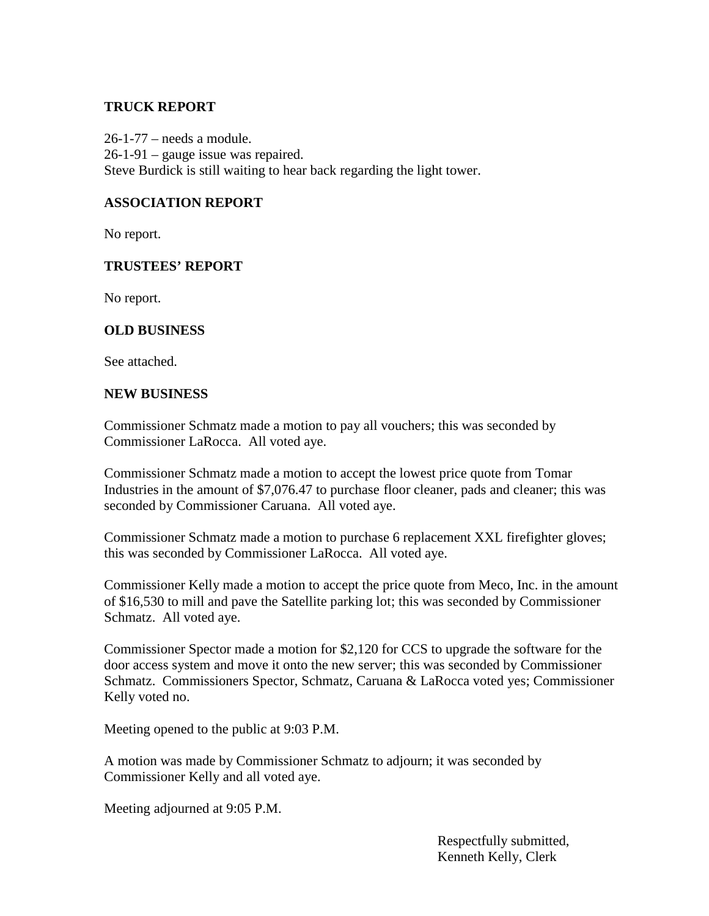## **TRUCK REPORT**

26-1-77 – needs a module. 26-1-91 – gauge issue was repaired. Steve Burdick is still waiting to hear back regarding the light tower.

## **ASSOCIATION REPORT**

No report.

#### **TRUSTEES' REPORT**

No report.

#### **OLD BUSINESS**

See attached.

#### **NEW BUSINESS**

Commissioner Schmatz made a motion to pay all vouchers; this was seconded by Commissioner LaRocca. All voted aye.

Commissioner Schmatz made a motion to accept the lowest price quote from Tomar Industries in the amount of \$7,076.47 to purchase floor cleaner, pads and cleaner; this was seconded by Commissioner Caruana. All voted aye.

Commissioner Schmatz made a motion to purchase 6 replacement XXL firefighter gloves; this was seconded by Commissioner LaRocca. All voted aye.

Commissioner Kelly made a motion to accept the price quote from Meco, Inc. in the amount of \$16,530 to mill and pave the Satellite parking lot; this was seconded by Commissioner Schmatz. All voted aye.

Commissioner Spector made a motion for \$2,120 for CCS to upgrade the software for the door access system and move it onto the new server; this was seconded by Commissioner Schmatz. Commissioners Spector, Schmatz, Caruana & LaRocca voted yes; Commissioner Kelly voted no.

Meeting opened to the public at 9:03 P.M.

A motion was made by Commissioner Schmatz to adjourn; it was seconded by Commissioner Kelly and all voted aye.

Meeting adjourned at 9:05 P.M.

Respectfully submitted, Kenneth Kelly, Clerk